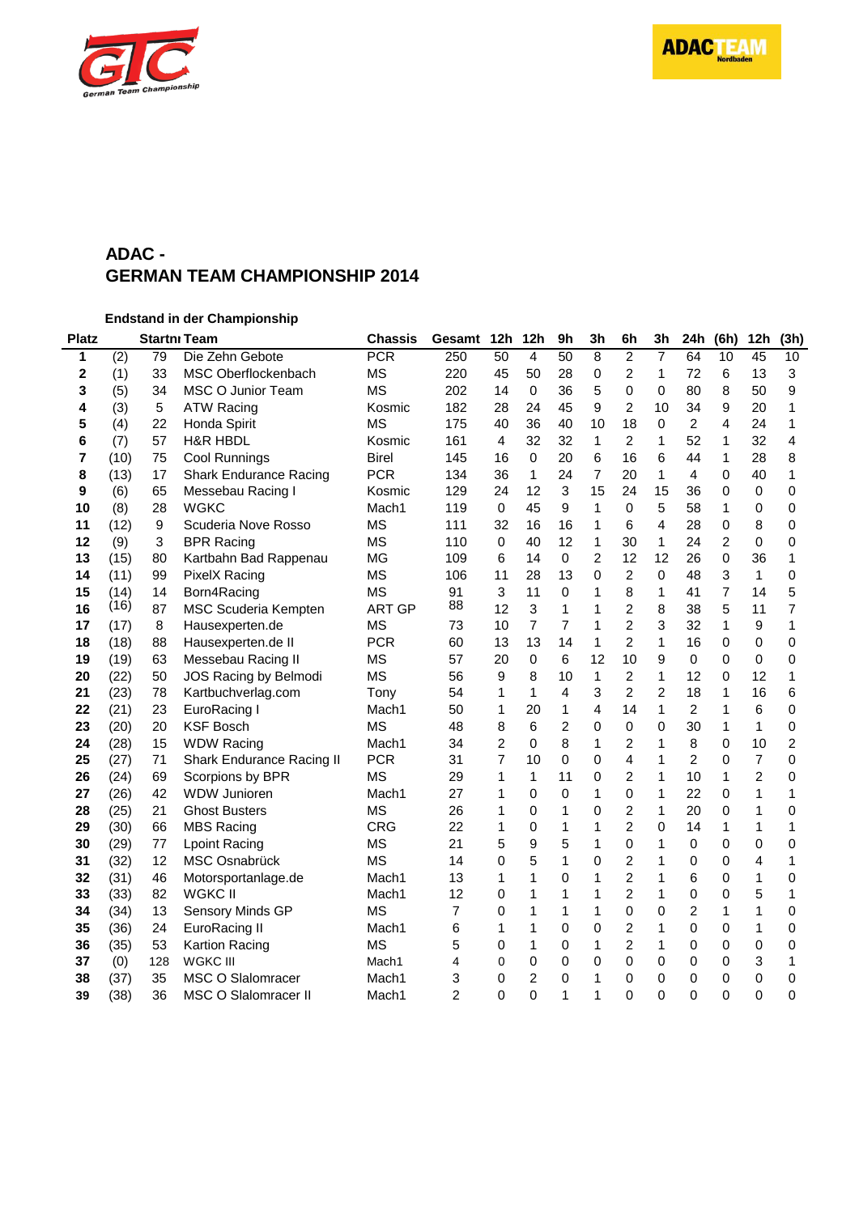

# **ADAC - GERMAN TEAM CHAMPIONSHIP 2014**

**Endstand in der Championship**

| <b>Platz</b> |      |         | <b>Startni Team</b>           | <b>Chassis</b>    | Gesamt         | 12h         | 12h            | 9 <sub>h</sub> | 3 <sub>h</sub>          | 6h             | 3h             | 24h            | (6h)           | 12h            | (3h)           |
|--------------|------|---------|-------------------------------|-------------------|----------------|-------------|----------------|----------------|-------------------------|----------------|----------------|----------------|----------------|----------------|----------------|
| 1            | (2)  | 79      | Die Zehn Gebote               | $\overline{PCR}$  | 250            | 50          | 4              | 50             | $\, 8$                  | $\overline{2}$ | 7              | 64             | 10             | 45             | 10             |
| 2            | (1)  | 33      | MSC Oberflockenbach           | <b>MS</b>         | 220            | 45          | 50             | 28             | 0                       | $\overline{c}$ | $\mathbf{1}$   | 72             | 6              | 13             | 3              |
| 3            | (5)  | 34      | MSC O Junior Team             | <b>MS</b>         | 202            | 14          | 0              | 36             | 5                       | 0              | 0              | 80             | 8              | 50             | 9              |
| 4            | (3)  | 5       | <b>ATW Racing</b>             | Kosmic            | 182            | 28          | 24             | 45             | 9                       | $\overline{2}$ | 10             | 34             | 9              | 20             | 1              |
| 5            | (4)  | 22      | Honda Spirit                  | <b>MS</b>         | 175            | 40          | 36             | 40             | 10                      | 18             | 0              | $\overline{2}$ | 4              | 24             | 1              |
| 6            | (7)  | 57      | <b>H&amp;R HBDL</b>           | Kosmic            | 161            | 4           | 32             | 32             | $\mathbf{1}$            | $\overline{2}$ | $\mathbf{1}$   | 52             | 1              | 32             | 4              |
| 7            | (10) | 75      | <b>Cool Runnings</b>          | <b>Birel</b>      | 145            | 16          | 0              | 20             | 6                       | 16             | 6              | 44             | 1              | 28             | 8              |
| 8            | (13) | 17      | <b>Shark Endurance Racing</b> | <b>PCR</b>        | 134            | 36          | $\mathbf{1}$   | 24             | 7                       | 20             | $\mathbf{1}$   | 4              | 0              | 40             | 1              |
| 9            | (6)  | 65      | Messebau Racing I             | Kosmic            | 129            | 24          | 12             | 3              | 15                      | 24             | 15             | 36             | 0              | $\mathbf 0$    | $\mathbf 0$    |
| 10           | (8)  | 28      | <b>WGKC</b>                   | Mach1             | 119            | $\mathbf 0$ | 45             | 9              | 1                       | 0              | 5              | 58             | 1              | 0              | 0              |
| 11           | (12) | 9       | Scuderia Nove Rosso           | <b>MS</b>         | 111            | 32          | 16             | 16             | 1                       | 6              | 4              | 28             | 0              | 8              | 0              |
| 12           | (9)  | 3       | <b>BPR Racing</b>             | <b>MS</b>         | 110            | 0           | 40             | 12             | 1                       | 30             | $\mathbf{1}$   | 24             | $\overline{c}$ | 0              | 0              |
| 13           | (15) | 80      | Kartbahn Bad Rappenau         | MG                | 109            | 6           | 14             | 0              | 2                       | 12             | 12             | 26             | 0              | 36             | 1              |
| 14           | (11) | 99      | <b>PixelX Racing</b>          | <b>MS</b>         | 106            | 11          | 28             | 13             | 0                       | $\overline{2}$ | 0              | 48             | 3              | $\mathbf{1}$   | $\Omega$       |
| 15           | (14) | 14      | Born4Racing                   | <b>MS</b>         | 91             | 3           | 11             | 0              | 1                       | 8              | 1              | 41             | 7              | 14             | 5              |
| 16           | (16) | 87      | MSC Scuderia Kempten          | <b>ART GP</b>     | 88             | 12          | 3              | 1              | 1                       | $\overline{2}$ | 8              | 38             | 5              | 11             | 7              |
| 17           | (17) | $\bf 8$ | Hausexperten.de               | <b>MS</b>         | 73             | 10          | $\overline{7}$ | 7              | 1                       | $\overline{c}$ | 3              | 32             | $\mathbf{1}$   | 9              | 1              |
| 18           | (18) | 88      | Hausexperten.de II            | <b>PCR</b>        | 60             | 13          | 13             | 14             | 1                       | $\overline{2}$ | $\mathbf{1}$   | 16             | 0              | $\mathbf 0$    | 0              |
| 19           | (19) | 63      | Messebau Racing II            | <b>MS</b>         | 57             | 20          | 0              | 6              | 12                      | 10             | 9              | 0              | 0              | 0              | $\mathbf 0$    |
| 20           | (22) | 50      | JOS Racing by Belmodi         | <b>MS</b>         | 56             | 9           | 8              | 10             | $\mathbf{1}$            | $\overline{2}$ | $\mathbf{1}$   | 12             | 0              | 12             | 1              |
| 21           | (23) | 78      | Kartbuchverlag.com            | Tony              | 54             | 1           | $\mathbf{1}$   | 4              | 3                       | 2              | $\overline{c}$ | 18             | 1              | 16             | 6              |
| 22           | (21) | 23      | EuroRacing I                  | Mach1             | 50             | 1           | 20             | 1              | $\overline{\mathbf{4}}$ | 14             | $\mathbf{1}$   | $\overline{2}$ | 1              | 6              | 0              |
| 23           | (20) | 20      | <b>KSF Bosch</b>              | <b>MS</b>         | 48             | 8           | 6              | $\overline{c}$ | $\overline{0}$          | $\mathsf 0$    | 0              | 30             | 1              | $\mathbf{1}$   | $\mathbf 0$    |
| 24           | (28) | 15      | <b>WDW Racing</b>             | Mach1             | 34             | 2           | 0              | 8              | 1                       | $\overline{c}$ | 1              | 8              | 0              | 10             | $\overline{c}$ |
| 25           | (27) | 71      | Shark Endurance Racing II     | <b>PCR</b>        | 31             | 7           | 10             | 0              | 0                       | $\overline{4}$ | $\mathbf{1}$   | $\overline{2}$ | 0              | $\overline{7}$ | $\Omega$       |
| 26           | (24) | 69      | Scorpions by BPR              | <b>MS</b>         | 29             | 1           | $\mathbf{1}$   | 11             | 0                       | $\overline{2}$ | $\mathbf{1}$   | 10             | 1              | $\overline{2}$ | $\Omega$       |
| 27           | (26) | 42      | <b>WDW Junioren</b>           | Mach <sub>1</sub> | 27             | 1           | 0              | 0              | 1                       | 0              | $\mathbf{1}$   | 22             | 0              | 1              | 1              |
| 28           | (25) | 21      | <b>Ghost Busters</b>          | <b>MS</b>         | 26             | 1           | 0              | 1              | 0                       | $\overline{c}$ | 1              | 20             | 0              | 1              | 0              |
| 29           | (30) | 66      | <b>MBS Racing</b>             | <b>CRG</b>        | 22             | 1           | 0              | 1              | 1                       | $\overline{c}$ | 0              | 14             | 1              | 1              | 1              |
| 30           | (29) | 77      | <b>Lpoint Racing</b>          | <b>MS</b>         | 21             | 5           | 9              | 5              | 1                       | 0              | 1              | 0              | 0              | $\mathbf 0$    | $\mathbf 0$    |
| 31           | (32) | 12      | MSC Osnabrück                 | <b>MS</b>         | 14             | 0           | 5              | 1              | 0                       | $\overline{c}$ | 1              | 0              | 0              | $\overline{4}$ | 1              |
| 32           | (31) | 46      | Motorsportanlage.de           | Mach1             | 13             | 1           | 1              | 0              | 1                       | $\overline{c}$ | 1              | 6              | 0              | 1              | 0              |
| 33           | (33) | 82      | <b>WGKC II</b>                | Mach1             | 12             | 0           | 1              | 1              | 1                       | $\overline{2}$ | 1              | 0              | 0              | 5              | 1              |
| 34           | (34) | 13      | Sensory Minds GP              | <b>MS</b>         | $\overline{7}$ | 0           | 1              | 1              | 1                       | $\mathbf 0$    | 0              | $\overline{2}$ | 1              | 1              | 0              |
| 35           | (36) | 24      | <b>EuroRacing II</b>          | Mach1             | 6              | 1           | 1              | 0              | 0                       | $\overline{c}$ | $\mathbf 1$    | 0              | 0              | 1              | 0              |
| 36           | (35) | 53      | Kartion Racing                | <b>MS</b>         | 5              | 0           | 1              | 0              | 1                       | $\overline{2}$ | 1              | 0              | 0              | $\mathbf 0$    | 0              |
| 37           | (0)  | 128     | WGKC III                      | Mach1             | 4              | 0           | 0              | 0              | 0                       | 0              | 0              | 0              | 0              | 3              | 1              |
| 38           | (37) | 35      | <b>MSC O Slalomracer</b>      | Mach1             | 3              | 0           | 2              | 0              | 1                       | 0              | 0              | 0              | 0              | 0              | 0              |
| 39           | (38) | 36      | MSC O Slalomracer II          | Mach1             | 2              | $\Omega$    | 0              | 1              | 1                       | $\Omega$       | $\mathbf{0}$   | 0              | 0              | $\Omega$       | 0              |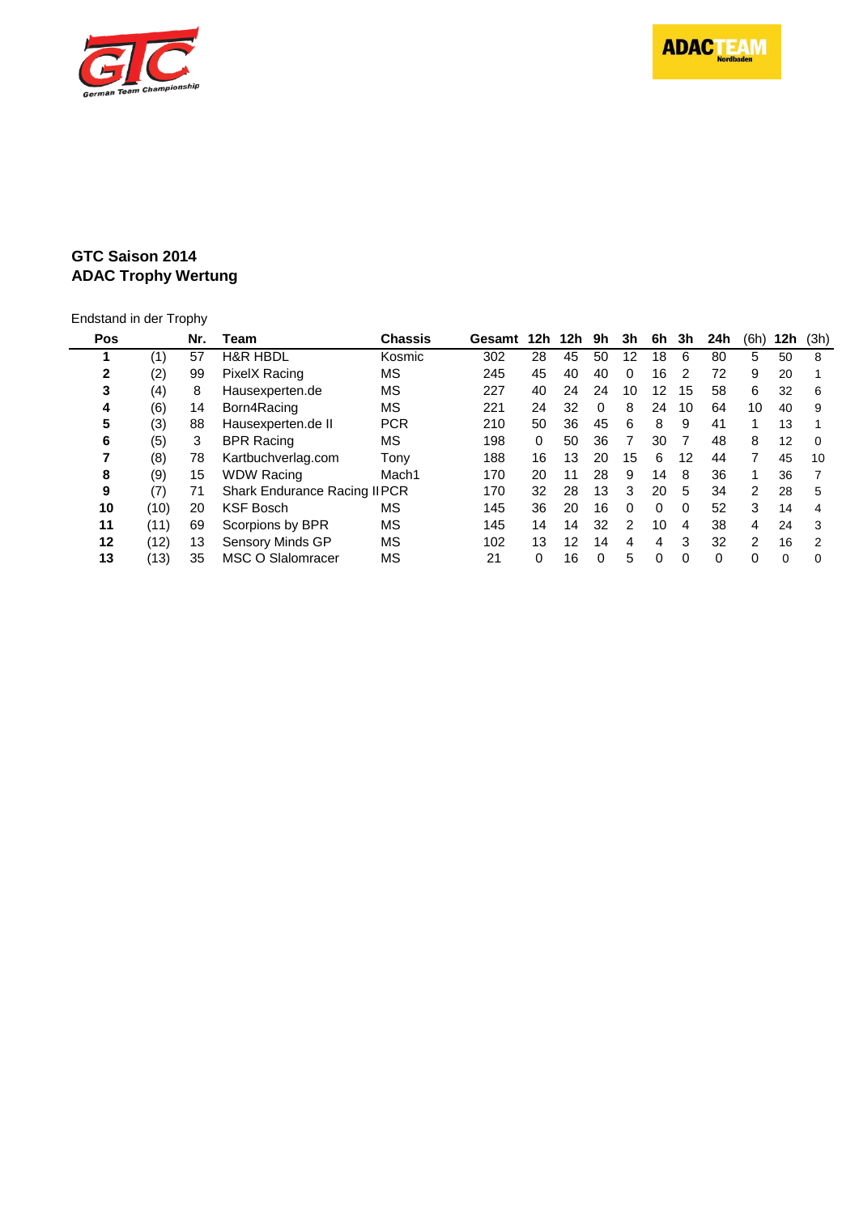**ADACTEAM** 



### **GTC Saison 2014 ADAC Trophy Wertung**

# Endstand in der Trophy

| Pos |      | Nr. | Team                                | Chassis           | Gesamt | 12h | 12h | 9h       | 3h       | 6h       | 3h       | 24h | (6h)          | 12h | (3h)     |
|-----|------|-----|-------------------------------------|-------------------|--------|-----|-----|----------|----------|----------|----------|-----|---------------|-----|----------|
|     | (1)  | 57  | <b>H&amp;R HBDL</b>                 | Kosmic            | 302    | 28  | 45  | 50       | 12       | 18       | 6        | 80  | 5             | 50  | 8        |
| 2   | (2)  | 99  | PixelX Racing                       | ΜS                | 245    | 45  | 40  | 40       | 0        | 16       | 2        | 72  | 9             | 20  |          |
| 3   | (4)  | 8   | Hausexperten.de                     | ΜS                | 227    | 40  | 24  | 24       | 10       | 12       | 15       | 58  | 6             | 32  | 6        |
| 4   | (6)  | 14  | Born4Racing                         | МS                | 221    | 24  | 32  | $\Omega$ | 8        | 24       | 10       | 64  | 10            | 40  | 9        |
| 5   | (3)  | 88  | Hausexperten.de II                  | <b>PCR</b>        | 210    | 50  | 36  | 45       | 6        | 8        | 9        | 41  |               | 13  |          |
| 6   | (5)  | 3   | <b>BPR Racing</b>                   | ΜS                | 198    | 0   | 50  | 36       |          | 30       |          | 48  | 8             | 12  | $\Omega$ |
|     | (8)  | 78  | Kartbuchverlag.com                  | Tonv              | 188    | 16  | 13  | 20       | 15       | 6        | 12       | 44  |               | 45  | 10       |
| 8   | (9)  | 15  | <b>WDW Racing</b>                   | Mach <sub>1</sub> | 170    | 20  | 11  | 28       | 9        | 14       | 8        | 36  |               | 36  |          |
| 9   | (7)  | 71  | <b>Shark Endurance Racing IIPCR</b> |                   | 170    | 32  | 28  | 13       | 3        | 20       | 5        | 34  | $\mathcal{P}$ | 28  | 5        |
| 10  | (10) | 20  | <b>KSF Bosch</b>                    | ΜS                | 145    | 36  | 20  | 16       | $\Omega$ | $\Omega$ | $\Omega$ | 52  | 3             | 14  | 4        |
| 11  | (11) | 69  | Scorpions by BPR                    | ΜS                | 145    | 14  | 14  | 32       | 2        | 10       | 4        | 38  | 4             | 24  | 3        |
| 12  | (12) | 13  | Sensory Minds GP                    | ΜS                | 102    | 13  | 12  | 14       | 4        | 4        | 3        | 32  | $\mathcal{P}$ | 16  | 2        |
| 13  | (13) | 35  | <b>MSC O Slalomracer</b>            | ΜS                | 21     | 0   | 16  | 0        | 5        | 0        | 0        | 0   | 0             | 0   | $\Omega$ |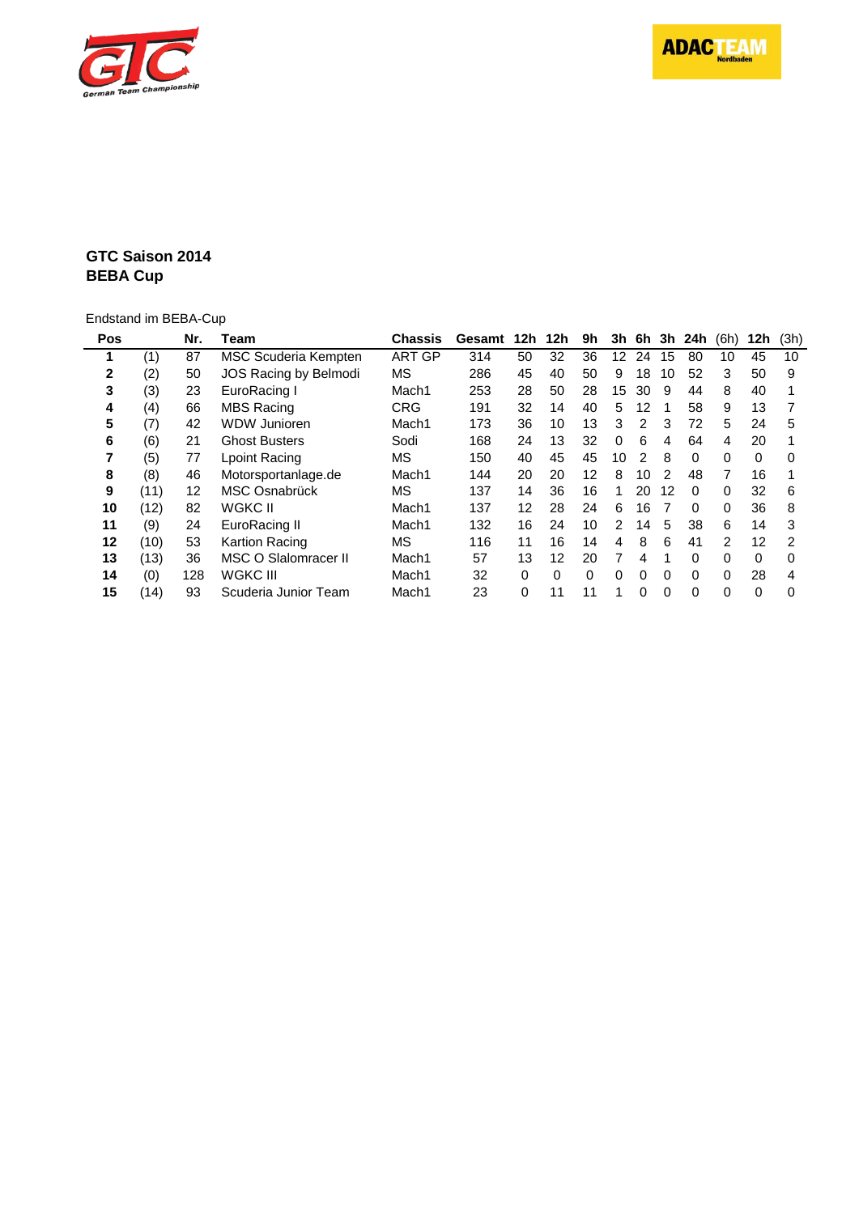



#### **GTC Saison 2014 BEBA Cup**

## Endstand im BEBA-Cup

| Pos          |      | Nr. | Team                  | <b>Chassis</b>    | Gesamt | 12 <sub>h</sub> | 12h      | 9h       | 3h            | 6h            |    | 3h 24h   | (6h)     | 12h      | (3h) |
|--------------|------|-----|-----------------------|-------------------|--------|-----------------|----------|----------|---------------|---------------|----|----------|----------|----------|------|
|              | (1)  | 87  | MSC Scuderia Kempten  | <b>ART GP</b>     | 314    | 50              | 32       | 36       | 12            | 24            | 15 | 80       | 10       | 45       | 10   |
| $\mathbf{2}$ | (2)  | 50  | JOS Racing by Belmodi | MS                | 286    | 45              | 40       | 50       | 9             | 18            | 10 | 52       | 3        | 50       | 9    |
| 3            | (3)  | 23  | EuroRacing I          | Mach <sub>1</sub> | 253    | 28              | 50       | 28       | 15            | 30            | 9  | 44       | 8        | 40       |      |
| 4            | (4)  | 66  | <b>MBS Racing</b>     | <b>CRG</b>        | 191    | 32              | 14       | 40       | 5             | 12            |    | 58       | 9        | 13       |      |
| 5            | (7)  | 42  | <b>WDW Junioren</b>   | Mach1             | 173    | 36              | 10       | 13       | 3             | 2             | 3  | 72       | 5        | 24       | 5    |
| 6            | (6)  | 21  | <b>Ghost Busters</b>  | Sodi              | 168    | 24              | 13       | 32       | 0             | 6             | 4  | 64       | 4        | 20       |      |
|              | (5)  | 77  | Lpoint Racing         | <b>MS</b>         | 150    | 40              | 45       | 45       | 10            | $\mathcal{P}$ | 8  | 0        | $\Omega$ | 0        | 0    |
| 8            | (8)  | 46  | Motorsportanlage.de   | Mach1             | 144    | 20              | 20       | 12       | 8             | 10            | 2  | 48       | 7        | 16       |      |
| 9            | (11) | 12  | MSC Osnabrück         | ΜS                | 137    | 14              | 36       | 16       | 1             | 20            | 12 | 0        | 0        | 32       | 6    |
| 10           | (12) | 82  | WGKC II               | Mach1             | 137    | 12              | 28       | 24       | 6             | 16            |    | $\Omega$ | $\Omega$ | 36       | 8    |
| 11           | (9)  | 24  | EuroRacing II         | Mach1             | 132    | 16              | 24       | 10       | $\mathcal{P}$ | 14            | 5  | 38       | 6        | 14       | 3    |
| 12           | (10) | 53  | <b>Kartion Racing</b> | MS                | 116    | 11              | 16       | 14       | 4             | 8             | 6  | 41       | 2        | 12       | 2    |
| 13           | (13) | 36  | MSC O Slalomracer II  | Mach1             | 57     | 13              | 12       | 20       |               | 4             |    | 0        | $\Omega$ | $\Omega$ | O    |
| 14           | (0)  | 128 | WGKC III              | Mach1             | 32     | 0               | $\Omega$ | $\Omega$ | $\Omega$      | 0             | 0  | 0        | $\Omega$ | 28       |      |
| 15           | (14) | 93  | Scuderia Junior Team  | Mach1             | 23     | 0               | 11       | 11       |               | 0             | 0  | 0        | 0        | 0        | 0    |